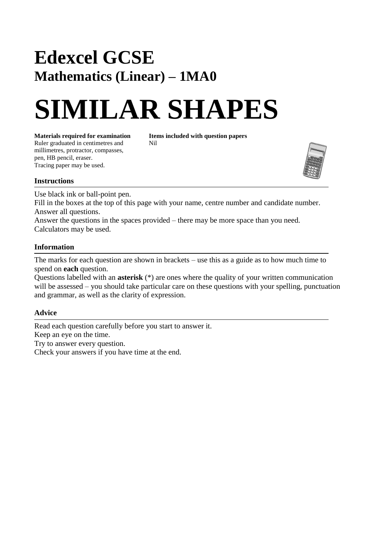## **Edexcel GCSE Mathematics (Linear) – 1MA0**

# **SIMILAR SHAPES**

**Materials required for examination Items included with question papers**<br>Ruler graduated in centimetres and **Nil** Ruler graduated in centimetres and millimetres, protractor, compasses, pen, HB pencil, eraser. Tracing paper may be used.



### **Instructions**

Use black ink or ball-point pen.

Fill in the boxes at the top of this page with your name, centre number and candidate number. Answer all questions.

Answer the questions in the spaces provided – there may be more space than you need. Calculators may be used.

### **Information**

The marks for each question are shown in brackets – use this as a guide as to how much time to spend on **each** question.

Questions labelled with an **asterisk** (\*) are ones where the quality of your written communication will be assessed – you should take particular care on these questions with your spelling, punctuation and grammar, as well as the clarity of expression.

### **Advice**

Read each question carefully before you start to answer it. Keep an eye on the time. Try to answer every question. Check your answers if you have time at the end.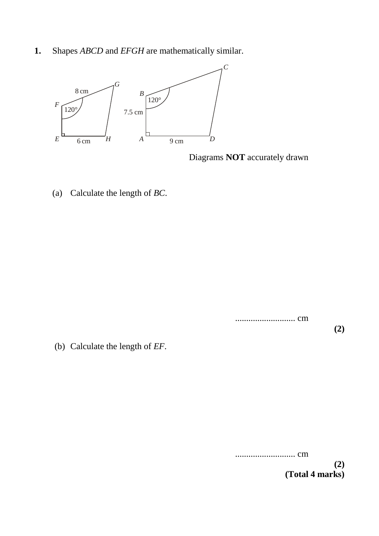**1.** Shapes *ABCD* and *EFGH* are mathematically similar.



Diagrams **NOT** accurately drawn

(a) Calculate the length of *BC*.

........................... cm

**(2)**

(b) Calculate the length of *EF*.

........................... cm

**(2) (Total 4 marks)**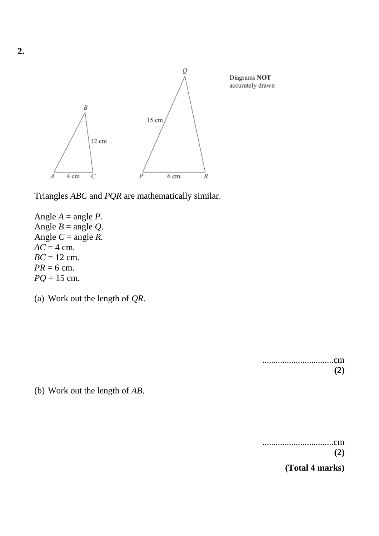

Triangles *ABC* and *PQR* are mathematically similar.

Angle  $A = \text{angle } P$ . Angle  $B = \text{angle } Q$ . Angle  $C = \text{angle } R$ .  $AC = 4$  cm. *BC* = 12 cm.  $PR = 6$  cm. *PQ* = 15 cm.

(a) Work out the length of *QR*.

................................cm **(2)**

(b) Work out the length of *AB*.

................................cm **(2)**

**(Total 4 marks)**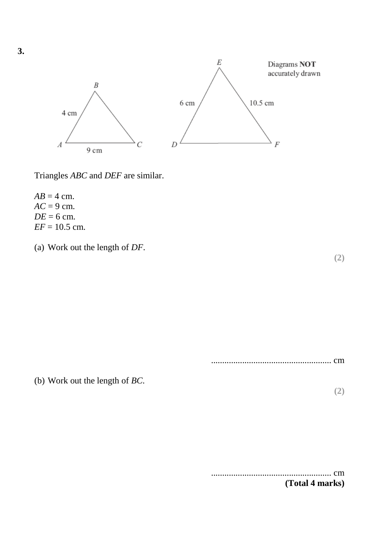

Triangles *ABC* and *DEF* are similar.

 $AB = 4$  cm.  $AC = 9$  cm.  $DE = 6$  cm.  $EF = 10.5$  cm.

(a) Work out the length of *DF*.

**(2)**

...................................................... cm

(b) Work out the length of *BC*.

**(2)**

...................................................... cm **(Total 4 marks)**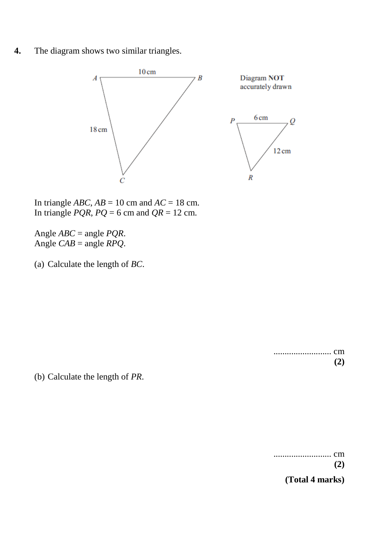**4.** The diagram shows two similar triangles.



In triangle  $ABC$ ,  $AB = 10$  cm and  $AC = 18$  cm. In triangle *PQR*,  $PQ = 6$  cm and  $QR = 12$  cm.

Angle *ABC* = angle *PQR*. Angle  $CAB$  = angle  $RPQ$ .

(a) Calculate the length of *BC*.

.......................... cm **(2)**

(b) Calculate the length of *PR*.

.......................... cm **(2)**

**(Total 4 marks)**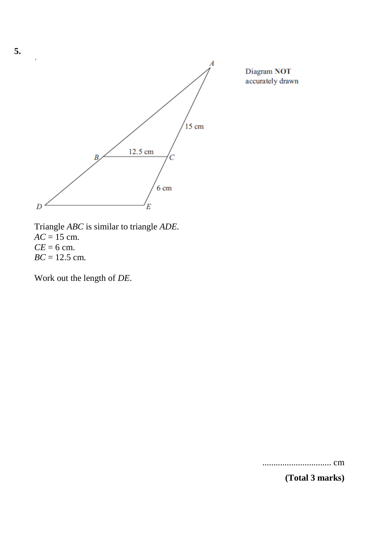

Triangle *ABC* is similar to triangle *ADE*.  $AC = 15$  cm.  $CE = 6$  cm. *BC* = 12.5 cm.

Work out the length of *DE*.

............................... cm

**(Total 3 marks)**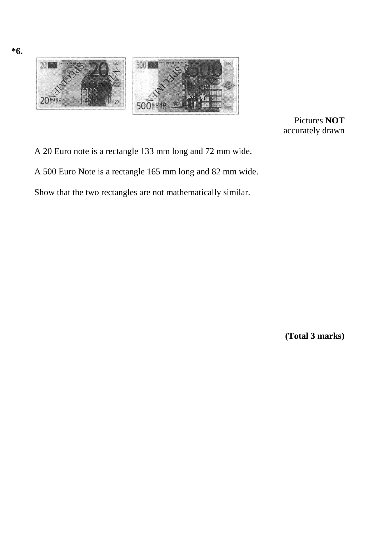

**\*6.**

Pictures **NOT** accurately drawn

A 20 Euro note is a rectangle 133 mm long and 72 mm wide.

A 500 Euro Note is a rectangle 165 mm long and 82 mm wide.

Show that the two rectangles are not mathematically similar.

**(Total 3 marks)**